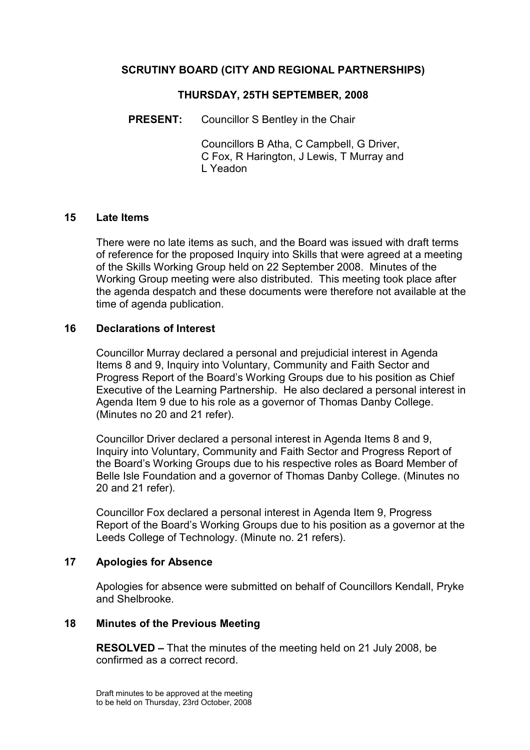## SCRUTINY BOARD (CITY AND REGIONAL PARTNERSHIPS)

#### THURSDAY, 25TH SEPTEMBER, 2008

PRESENT: Councillor S Bentley in the Chair

 Councillors B Atha, C Campbell, G Driver, C Fox, R Harington, J Lewis, T Murray and L Yeadon

#### 15 Late Items

There were no late items as such, and the Board was issued with draft terms of reference for the proposed Inquiry into Skills that were agreed at a meeting of the Skills Working Group held on 22 September 2008. Minutes of the Working Group meeting were also distributed. This meeting took place after the agenda despatch and these documents were therefore not available at the time of agenda publication.

#### 16 Declarations of Interest

Councillor Murray declared a personal and prejudicial interest in Agenda Items 8 and 9, Inquiry into Voluntary, Community and Faith Sector and Progress Report of the Board's Working Groups due to his position as Chief Executive of the Learning Partnership. He also declared a personal interest in Agenda Item 9 due to his role as a governor of Thomas Danby College. (Minutes no 20 and 21 refer).

Councillor Driver declared a personal interest in Agenda Items 8 and 9, Inquiry into Voluntary, Community and Faith Sector and Progress Report of the Board's Working Groups due to his respective roles as Board Member of Belle Isle Foundation and a governor of Thomas Danby College. (Minutes no 20 and 21 refer).

Councillor Fox declared a personal interest in Agenda Item 9, Progress Report of the Board's Working Groups due to his position as a governor at the Leeds College of Technology. (Minute no. 21 refers).

## 17 Apologies for Absence

Apologies for absence were submitted on behalf of Councillors Kendall, Pryke and Shelbrooke.

#### 18 Minutes of the Previous Meeting

RESOLVED – That the minutes of the meeting held on 21 July 2008, be confirmed as a correct record.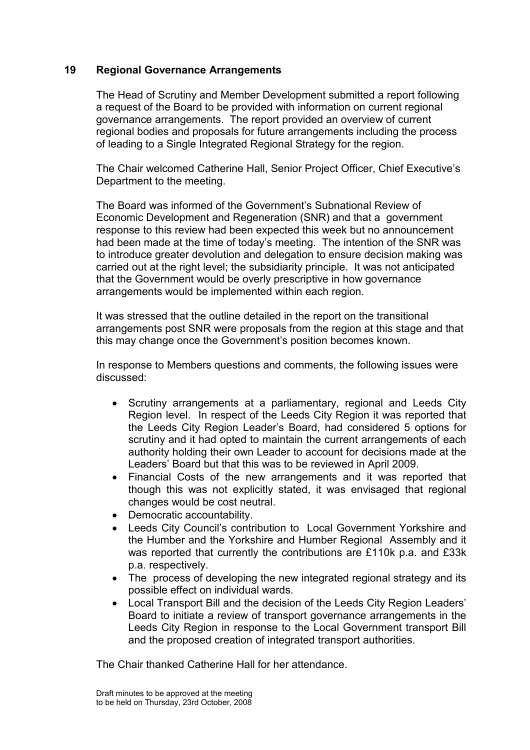## 19 Regional Governance Arrangements

The Head of Scrutiny and Member Development submitted a report following a request of the Board to be provided with information on current regional governance arrangements. The report provided an overview of current regional bodies and proposals for future arrangements including the process of leading to a Single Integrated Regional Strategy for the region.

The Chair welcomed Catherine Hall, Senior Project Officer, Chief Executive's Department to the meeting.

The Board was informed of the Government's Subnational Review of Economic Development and Regeneration (SNR) and that a government response to this review had been expected this week but no announcement had been made at the time of today's meeting. The intention of the SNR was to introduce greater devolution and delegation to ensure decision making was carried out at the right level; the subsidiarity principle. It was not anticipated that the Government would be overly prescriptive in how governance arrangements would be implemented within each region.

It was stressed that the outline detailed in the report on the transitional arrangements post SNR were proposals from the region at this stage and that this may change once the Government's position becomes known.

In response to Members questions and comments, the following issues were discussed:

- Scrutiny arrangements at a parliamentary, regional and Leeds City Region level. In respect of the Leeds City Region it was reported that the Leeds City Region Leader's Board, had considered 5 options for scrutiny and it had opted to maintain the current arrangements of each authority holding their own Leader to account for decisions made at the Leaders' Board but that this was to be reviewed in April 2009.
- Financial Costs of the new arrangements and it was reported that though this was not explicitly stated, it was envisaged that regional changes would be cost neutral.
- Democratic accountability.
- Leeds City Council's contribution to Local Government Yorkshire and the Humber and the Yorkshire and Humber Regional Assembly and it was reported that currently the contributions are £110k p.a. and £33k p.a. respectively.
- The process of developing the new integrated regional strategy and its possible effect on individual wards.
- Local Transport Bill and the decision of the Leeds City Region Leaders' Board to initiate a review of transport governance arrangements in the Leeds City Region in response to the Local Government transport Bill and the proposed creation of integrated transport authorities.

The Chair thanked Catherine Hall for her attendance.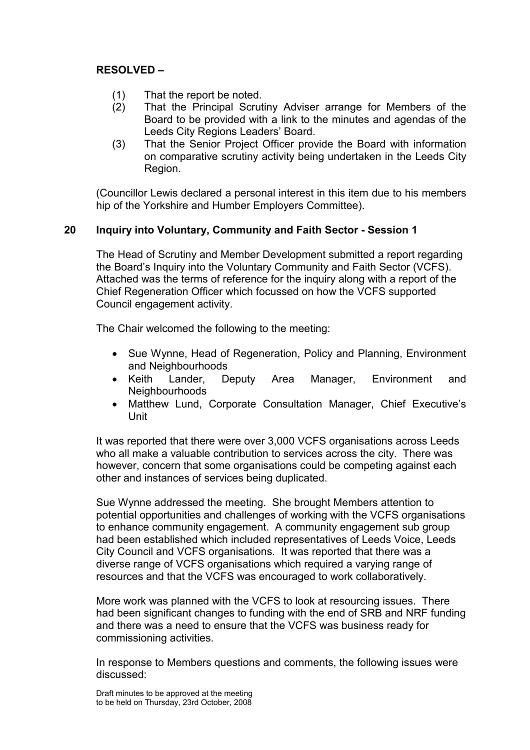## RESOLVED –

- (1) That the report be noted.
- (2) That the Principal Scrutiny Adviser arrange for Members of the Board to be provided with a link to the minutes and agendas of the Leeds City Regions Leaders' Board.
- (3) That the Senior Project Officer provide the Board with information on comparative scrutiny activity being undertaken in the Leeds City Region.

(Councillor Lewis declared a personal interest in this item due to his members hip of the Yorkshire and Humber Employers Committee).

## 20 Inquiry into Voluntary, Community and Faith Sector - Session 1

The Head of Scrutiny and Member Development submitted a report regarding the Board's Inquiry into the Voluntary Community and Faith Sector (VCFS). Attached was the terms of reference for the inquiry along with a report of the Chief Regeneration Officer which focussed on how the VCFS supported Council engagement activity.

The Chair welcomed the following to the meeting:

- Sue Wynne, Head of Regeneration, Policy and Planning, Environment and Neighbourhoods
- Keith Lander, Deputy Area Manager, Environment and **Neighbourhoods**
- Matthew Lund, Corporate Consultation Manager, Chief Executive's Unit

It was reported that there were over 3,000 VCFS organisations across Leeds who all make a valuable contribution to services across the city. There was however, concern that some organisations could be competing against each other and instances of services being duplicated.

Sue Wynne addressed the meeting. She brought Members attention to potential opportunities and challenges of working with the VCFS organisations to enhance community engagement. A community engagement sub group had been established which included representatives of Leeds Voice, Leeds City Council and VCFS organisations. It was reported that there was a diverse range of VCFS organisations which required a varying range of resources and that the VCFS was encouraged to work collaboratively.

More work was planned with the VCFS to look at resourcing issues. There had been significant changes to funding with the end of SRB and NRF funding and there was a need to ensure that the VCFS was business ready for commissioning activities.

In response to Members questions and comments, the following issues were discussed: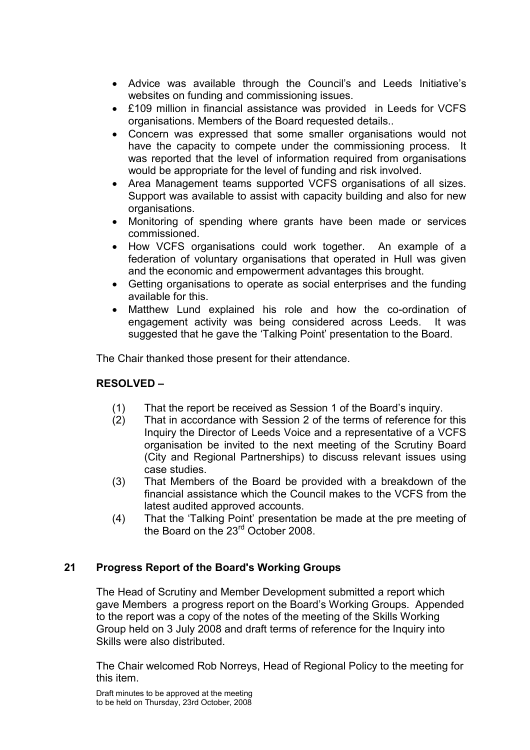- Advice was available through the Council's and Leeds Initiative's websites on funding and commissioning issues.
- £109 million in financial assistance was provided in Leeds for VCFS organisations. Members of the Board requested details..
- Concern was expressed that some smaller organisations would not have the capacity to compete under the commissioning process. It was reported that the level of information required from organisations would be appropriate for the level of funding and risk involved.
- Area Management teams supported VCFS organisations of all sizes. Support was available to assist with capacity building and also for new organisations.
- Monitoring of spending where grants have been made or services commissioned.
- How VCFS organisations could work together. An example of a federation of voluntary organisations that operated in Hull was given and the economic and empowerment advantages this brought.
- Getting organisations to operate as social enterprises and the funding available for this.
- Matthew Lund explained his role and how the co-ordination of engagement activity was being considered across Leeds. It was suggested that he gave the 'Talking Point' presentation to the Board.

The Chair thanked those present for their attendance.

# RESOLVED –

- (1) That the report be received as Session 1 of the Board's inquiry.
- (2) That in accordance with Session 2 of the terms of reference for this Inquiry the Director of Leeds Voice and a representative of a VCFS organisation be invited to the next meeting of the Scrutiny Board (City and Regional Partnerships) to discuss relevant issues using case studies.
- (3) That Members of the Board be provided with a breakdown of the financial assistance which the Council makes to the VCFS from the latest audited approved accounts.
- (4) That the 'Talking Point' presentation be made at the pre meeting of the Board on the 23rd October 2008.

# 21 Progress Report of the Board's Working Groups

The Head of Scrutiny and Member Development submitted a report which gave Members a progress report on the Board's Working Groups. Appended to the report was a copy of the notes of the meeting of the Skills Working Group held on 3 July 2008 and draft terms of reference for the Inquiry into Skills were also distributed.

The Chair welcomed Rob Norreys, Head of Regional Policy to the meeting for this item.